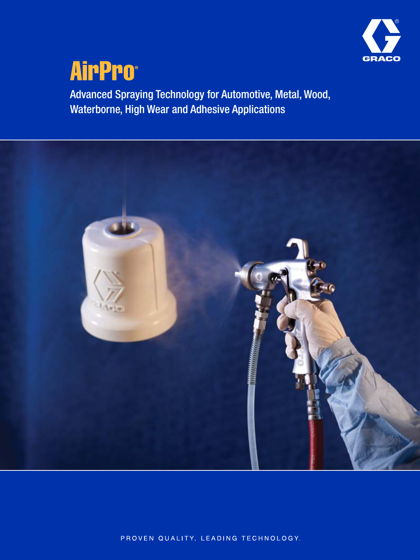

# **AirPro**®

Advanced Spraying Technology for Automotive, Metal, Wood, Waterborne, High Wear and Adhesive Applications

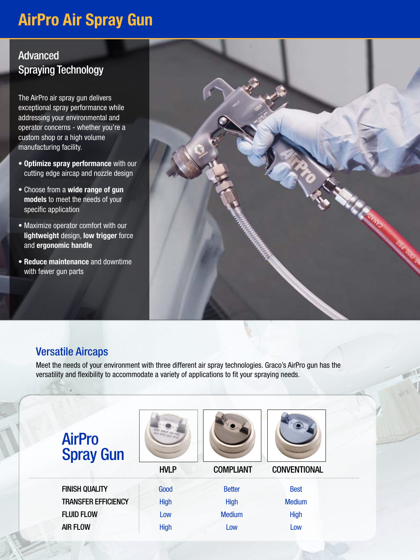# AirPro Air Spray Gun

# Advanced Spraying Technology

The AirPro air spray gun delivers exceptional spray performance while addressing your environmental and operator concerns - whether you're a custom shop or a high volume manufacturing facility.

- Optimize spray performance with our cutting edge aircap and nozzle design
- Choose from a wide range of gun models to meet the needs of your specific application
- Maximize operator comfort with our lightweight design, low trigger force and ergonomic handle
- Reduce maintenance and downtime with fewer gun parts



# Versatile Aircaps

Meet the needs of your environment with three different air spray technologies. Graco's AirPro gun has the versatility and flexibility to accommodate a variety of applications to fit your spraying needs.

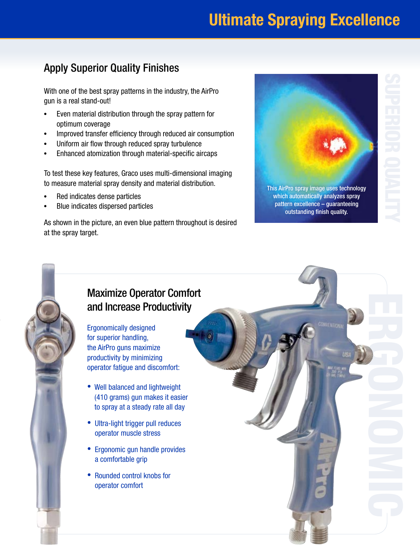# Ultimate Spraying Excellence

# Apply Superior Quality Finishes

With one of the best spray patterns in the industry, the AirPro gun is a real stand-out!

- Even material distribution through the spray pattern for optimum coverage
- Improved transfer efficiency through reduced air consumption
- Uniform air flow through reduced spray turbulence
- Enhanced atomization through material-specific aircaps

To test these key features, Graco uses multi-dimensional imaging to measure material spray density and material distribution.

Red indicates dense particles

Į

• Blue indicates dispersed particles

As shown in the picture, an even blue pattern throughout is desired at the spray target.



which automatically analyzes spray pattern excellence – guaranteeing outstanding finish quality.



# Maximize Operator Comfort and Increase Productivity

Ergonomically designed for superior handling, the AirPro guns maximize productivity by minimizing operator fatigue and discomfort:

- Well balanced and lightweight (410 grams) gun makes it easier to spray at a steady rate all day
- Ultra-light trigger pull reduces operator muscle stress
- Ergonomic gun handle provides a comfortable grip
- Rounded control knobs for operator comfort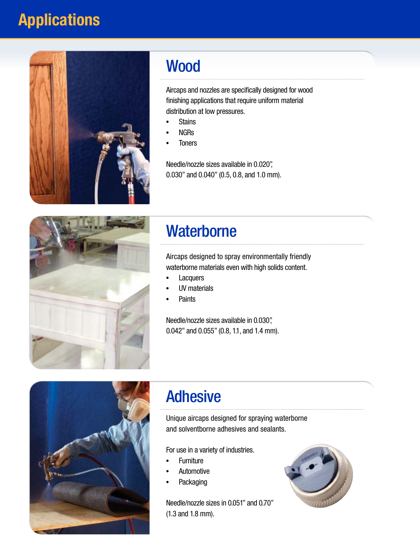# Applications



# Wood

Aircaps and nozzles are specifically designed for wood finishing applications that require uniform material distribution at low pressures.

- **Stains**
- NGRs
- **Toners**

Needle/nozzle sizes available in 0.020", 0.030" and 0.040" (0.5, 0.8, and 1.0 mm).



# **Waterborne**

Aircaps designed to spray environmentally friendly waterborne materials even with high solids content.

- Lacquers
- UV materials
- **Paints**

Needle/nozzle sizes available in 0.030", 0.042" and 0.055" (0.8, 1.1, and 1.4 mm).



# Adhesive

Unique aircaps designed for spraying waterborne and solventborne adhesives and sealants.

For use in a variety of industries.

- Furniture
- **Automotive**
- **Packaging**

Needle/nozzle sizes in 0.051" and 0.70" (1.3 and 1.8 mm).

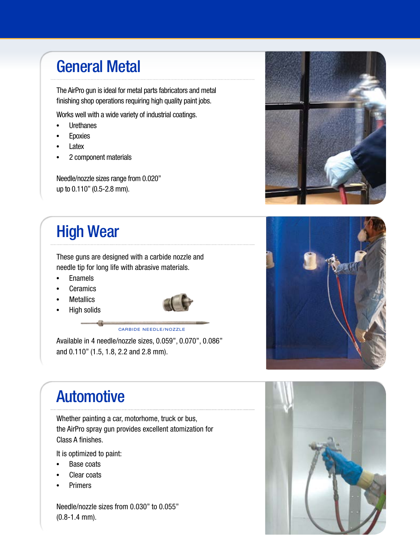# General Metal

The AirPro gun is ideal for metal parts fabricators and metal finishing shop operations requiring high quality paint jobs.

Works well with a wide variety of industrial coatings.

- **Urethanes**
- **Epoxies**
- **Latex**
- 2 component materials

Needle/nozzle sizes range from 0.020" up to 0.110" (0.5-2.8 mm).

# High Wear

These guns are designed with a carbide nozzle and needle tip for long life with abrasive materials.

- **Enamels**
- **Ceramics**
- **Metallics**
- High solids



CARBIDE NEEDLE/NOZZLE

Available in 4 needle/nozzle sizes, 0.059", 0.070", 0.086" and 0.110" (1.5, 1.8, 2.2 and 2.8 mm).

# Automotive

Whether painting a car, motorhome, truck or bus, the AirPro spray gun provides excellent atomization for Class A finishes.

It is optimized to paint:

- Base coats
- Clear coats
- **Primers**

Needle/nozzle sizes from 0.030" to 0.055" (0.8-1.4 mm).





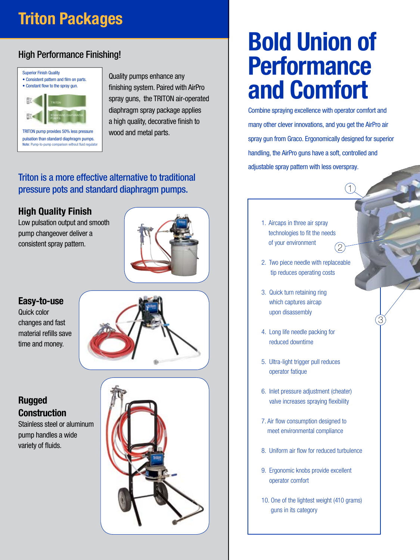# Triton Packages

# High Performance Finishing!



Quality pumps enhance any finishing system. Paired with AirPro spray guns, the TRITON air-operated diaphragm spray package applies a high quality, decorative finish to wood and metal parts.

# Triton is a more effective alternative to traditional pressure pots and standard diaphragm pumps.

# High Quality Finish

Low pulsation output and smooth pump changeover deliver a consistent spray pattern.



## Easy-to-use

Quick color changes and fast material refills save time and money.



# **Rugged Construction**

Stainless steel or aluminum pump handles a wide variety of fluids.



# Bold Union of **Performance** and Comfort

Combine spraying excellence with operator comfort and many other clever innovations, and you get the AirPro air spray gun from Graco. Ergonomically designed for superior handling, the AirPro guns have a soft, controlled and adjustable spray pattern with less overspray.

1

3

- 1. Aircaps in three air spray technologies to fit the needs of your environment 2
- 2. Two piece needle with replaceable tip reduces operating costs
- 3. Quick turn retaining ring which captures aircap upon disassembly
- 4. Long life needle packing for reduced downtime
- 5. Ultra-light trigger pull reduces operator fatique
- 6. Inlet pressure adjustment (cheater) valve increases spraying flexibility
- 7. Air flow consumption designed to meet environmental compliance
- 8. Uniform air flow for reduced turbulence
- 9. Ergonomic knobs provide excellent operator comfort
- 10. One of the lightest weight (410 grams) guns in its category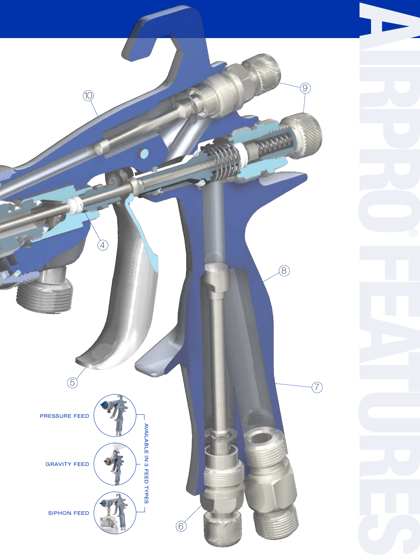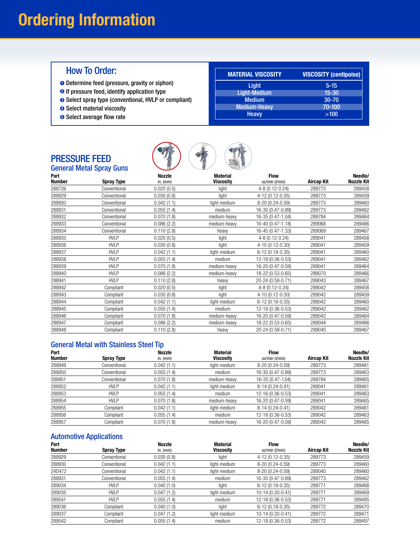## How To Order:

- **O** Determine feed (pressure, gravity or siphon)
- **<sup>3</sup>** If pressure feed, identify application type
- **3** Select spray type (conventional, HVLP or compliant)
- **<sup>3</sup>** Select material viscosity
- **5** Select average flow rate

| <b>MATERIAL VISCOSITY</b> | <b>VISCOSITY (centipoise)</b> |
|---------------------------|-------------------------------|
| <b>Light</b>              | $5 - 15$                      |
| <b>Light-Medium</b>       | $15 - 30$                     |
| <b>Medium</b>             | $30 - 70$                     |
| <b>Medium-Heavy</b>       | 70-100                        |
| <b>Heavy</b>              | >100                          |

## PRESSURE FEED

|        | <b>General Metal Spray Guns</b> |            | 200 TL           |                   |            |                   |
|--------|---------------------------------|------------|------------------|-------------------|------------|-------------------|
| Part   |                                 | Nozzle     | <b>Material</b>  | <b>Flow</b>       |            | Needle/           |
| Number | <b>Spray Type</b>               | in. (mm)   | <b>Viscosity</b> | oz/min (I/min)    | Aircap Kit | <b>Nozzle Kit</b> |
| 288726 | Conventional                    | 0.020(0.5) | light            | 4-8 (0.12-0.24)   | 289773     | 289458            |
| 288929 | Conventional                    | 0.030(0.8) | light            | 4-12 (0.12-0.35)  | 289773     | 289459            |
| 288930 | Conventional                    | 0.042(1.1) | light-medium     | 8-20 (0.24-0.59)  | 289773     | 289460            |
| 288931 | Conventional                    | 0.055(1.4) | medium           | 16-30 (0.47-0.89) | 289773     | 289462            |
| 288932 | Conventional                    | 0.070(1.8) | medium-heavy     | 16-35 (0.47-1.04) | 289784     | 289464            |
| 288933 | Conventional                    | 0.086(2.2) | medium-heavy     | 16-40 (0.47-1.18) | 289068     | 289466            |
| 288934 | Conventional                    | 0.110(2.8) | heavy            | 16-45 (0.47-1.33) | 289069     | 289467            |
| 288935 | <b>HVLP</b>                     | 0.020(0.5) | light            | 4-8 (0.12-0.24)   | 289041     | 289458            |
| 288936 | <b>HVLP</b>                     | 0.030(0.8) | light            | 4-10 (0.12-0.30)  | 289041     | 289459            |
| 288937 | <b>HVLP</b>                     | 0.042(1.1) | light-medium     | $6-12(0.18-0.35)$ | 289041     | 289460            |
| 288938 | <b>HVLP</b>                     | 0.055(1.4) | medium           | 12-18 (0.36-0.53) | 289041     | 289462            |
| 288939 | <b>HVLP</b>                     | 0.070(1.8) | medium-heavy     | 16-20 (0.47-0.59) | 289041     | 289464            |
| 288940 | <b>HVLP</b>                     | 0.086(2.2) | medium-heavy     | 18-22 (0.53-0.65) | 289070     | 289466            |
| 288941 | <b>HVLP</b>                     | 0.110(2.8) | heavy            | 20-24 (0.59-0.71) | 289043     | 289467            |
| 288942 | Compliant                       | 0.020(0.5) | light            | 4-8 (0.12-0.24)   | 289042     | 289458            |
| 288943 | Compliant                       | 0.030(0.8) | light            | 4-10 (0.12-0.30)  | 289042     | 289459            |
| 288944 | Compliant                       | 0.042(1.1) | light-medium     | 6-12 (0.18-0.35)  | 289042     | 289460            |
| 288945 | Compliant                       | 0.055(1.4) | medium           | 12-18 (0.36-0.53) | 289042     | 289462            |
| 288946 | Compliant                       | 0.070(1.8) | medium-heavy     | 16-20 (0.47-0.59) | 289042     | 289464            |
| 288947 | Compliant                       | 0.086(2.2) | medium-heavy     | 18-22 (0.53-0.65) | 289044     | 289466            |
| 288948 | Compliant                       | 0.110(2.8) | heavy            | 20-24 (0.59-0.71) | 289045     | 289467            |

市

## General Metal with Stainless Steel Tip

| Part   |                   | <b>Nozzle</b> | <b>Material</b> | <b>Flow</b>       |            | Needle/    |
|--------|-------------------|---------------|-----------------|-------------------|------------|------------|
| Number | <b>Spray Type</b> | in. $(mm)$    | Viscosity       | oz/min (l/min)    | Aircap Kit | Nozzle Kit |
| 288949 | Conventional      | 0.042(1.1)    | light-medium    | 8-20 (0.24-0.59)  | 289773     | 289461     |
| 288950 | Conventional      | 0.055(1.4)    | medium          | 16-30 (0.47-0.89) | 289773     | 289463     |
| 288951 | Conventional      | 0.070(1.8)    | medium-heavy    | 16-35 (0.47-1.04) | 289784     | 289465     |
| 288952 | <b>HVLP</b>       | 0.042(1.1)    | light-medium    | $8-14(0.24-0.41)$ | 289041     | 289461     |
| 288953 | <b>HVLP</b>       | 0.055(1.4)    | medium          | 12-16 (0.36-0.53) | 289041     | 289463     |
| 288954 | <b>HVLP</b>       | 0.070(1.8)    | medium-heavy    | 16-20 (0.47-0.59) | 289041     | 289465     |
| 288955 | Compliant         | 0.042(1.1)    | light-medium    | 8-14 (0.24-0.41)  | 289042     | 289461     |
| 288956 | Compliant         | 0.055(1.4)    | medium          | 12-18 (0.36-0.53) | 289042     | 289463     |
| 288957 | Compliant         | 0.070(1.8)    | medium-heavy    | 16-20 (0.47-0.59) | 289042     | 289465     |

## Automotive Applications

| Part   |                   | <b>Nozzle</b> | <b>Material</b>  | <b>Flow</b>       |            | Needle/    |
|--------|-------------------|---------------|------------------|-------------------|------------|------------|
| Number | <b>Spray Type</b> | in. $(mm)$    | <b>Viscosity</b> | oz/min (l/min)    | Aircap Kit | Nozzle Kit |
| 288929 | Conventional      | 0.030(0.8)    | light            | 4-12 (0.12-0.35)  | 289773     | 289459     |
| 288930 | Conventional      | 0.042(1.1)    | light-medium     | 8-20 (0.24-0.59)  | 289773     | 289460     |
| 24D472 | Conventional      | 0.042(1.1)    | light-medium     | 8-20 (0.24-0.59)  | 289040     | 289460     |
| 288931 | Conventional      | 0.055(1.4)    | medium           | 16-30 (0.47-0.89) | 289773     | 289462     |
| 289034 | <b>HVLP</b>       | 0.040(1.0)    | light            | $6-12(0.18-0.35)$ | 289771     | 289468     |
| 289035 | <b>HVLP</b>       | 0.047(1.2)    | light-medium     | 10-14 (0.30-0.41) | 289771     | 289469     |
| 289541 | <b>HVLP</b>       | 0.055(1.4)    | medium           | 12-18 (0.36-0.53) | 289771     | 289495     |
| 289036 | Compliant         | 0.040(1.0)    | light            | $6-12(0.18-0.35)$ | 289772     | 289470     |
| 289037 | Compliant         | 0.047(1.2)    | light-medium     | 10-14 (0.30-0.41) | 289772     | 289471     |
| 289542 | Compliant         | 0.055(1.4)    | medium           | 12-18 (0.36-0.53) | 289772     | 289497     |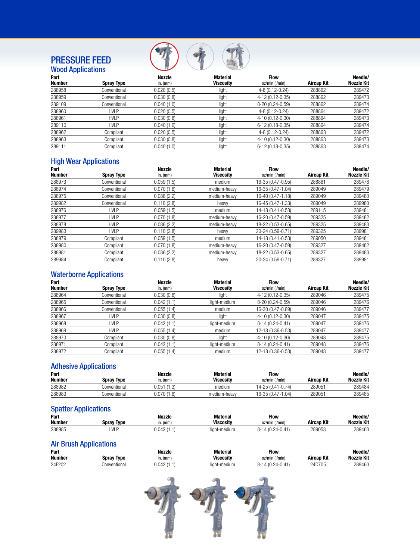

## PRESSURE FEED Wood Applications

| --------- <del>----------</del> |                   |                             |                              |                               |            |                       |
|---------------------------------|-------------------|-----------------------------|------------------------------|-------------------------------|------------|-----------------------|
| Part<br><b>Number</b>           | <b>Spray Type</b> | <b>Nozzle</b><br>in. $(mm)$ | <b>Material</b><br>Viscositv | <b>Flow</b><br>oz/min (l/min) | Aircap Kit | Needle/<br>Nozzle Kit |
| 288958                          | Conventional      | 0.020(0.5)                  | light                        | 4-8 (0.12-0.24)               | 288862     | 289472                |
| 288959                          | Conventional      | 0.030(0.8)                  | light                        | 4-12 (0.12-0.35)              | 288862     | 289473                |
| 289109                          | Conventional      | 0.040(1.0)                  | light                        | 8-20 (0.24-0.59)              | 288862     | 289474                |
| 288960                          | <b>HVLP</b>       | 0.020(0.5)                  | light                        | 4-8 (0.12-0.24)               | 288864     | 289472                |
| 288961                          | <b>HVLP</b>       | 0.030(0.8)                  | light                        | 4-10 (0.12-0.30)              | 288864     | 289473                |
| 289110                          | <b>HVLP</b>       | 0.040(1.0)                  | light                        | $6-12(0.18-0.35)$             | 288864     | 289474                |
| 288962                          | Compliant         | 0.020(0.5)                  | light                        | 4-8 (0.12-0.24)               | 288863     | 289472                |
| 288963                          | Compliant         | 0.030(0.8)                  | light                        | 4-10 (0.12-0.30)              | 288863     | 289473                |
| 289111                          | Compliant         | 0.040(1.0)                  | light                        | $6-12(0.18-0.35)$             | 288863     | 289474                |

## High Wear Applications

| Part   |                   | <b>Nozzle</b> | <b>Material</b>  | <b>Flow</b>       |                   | Needle/           |
|--------|-------------------|---------------|------------------|-------------------|-------------------|-------------------|
| Number | <b>Spray Type</b> | in. $(mm)$    | <b>Viscosity</b> | oz/min (I/min)    | <b>Aircap Kit</b> | <b>Nozzle Kit</b> |
| 288973 | Conventional      | 0.059(1.5)    | medium           | 16-35 (0.47-0.95) | 288861            | 289478            |
| 288974 | Conventional      | 0.070(1.8)    | medium-heavy     | 16-35 (0.47-1.04) | 289049            | 289479            |
| 288975 | Conventional      | 0.086(2.2)    | medium-heavy     | 16-40 (0.47-1.18) | 289049            | 289480            |
| 289982 | Conventional      | 0.110(2.8)    | heavy            | 16-45 (0.47-1.33) | 289049            | 289980            |
| 288976 | <b>HVLP</b>       | 0.059(1.5)    | medium           | 14-18 (0.41-0.53) | 289115            | 289481            |
| 288977 | <b>HVLP</b>       | 0.070(1.8)    | medium-heavy     | 16-20 (0.47-0.59) | 289325            | 289482            |
| 288978 | <b>HVLP</b>       | 0.086(2.2)    | medium-heavy     | 18-22 (0.53-0.65) | 289325            | 289483            |
| 289983 | <b>HVLP</b>       | 0.110(2.8)    | heavy            | 20-24 (0.59-0.71) | 289325            | 289981            |
| 288979 | Compliant         | 0.059(1.5)    | medium           | 14-18 (0.41-0.53) | 289050            | 289481            |
| 288980 | Compliant         | 0.070(1.8)    | medium-heavy     | 16-20 (0.47-0.59) | 289327            | 289482            |
| 288981 | Compliant         | 0.086(2.2)    | medium-heavy     | 18-22 (0.53-0.65) | 289327            | 289483            |
| 289984 | Compliant         | 0.110(2.8)    | heaw             | 20-24 (0.59-0.71) | 289327            | 289981            |

## Waterborne Applications

| Part   |                   | <b>Nozzle</b> | <b>Material</b>  | <b>Flow</b>       |            | Needle/           |
|--------|-------------------|---------------|------------------|-------------------|------------|-------------------|
| Number | <b>Spray Type</b> | in. $(mm)$    | <b>Viscosity</b> | oz/min (I/min)    | Aircap Kit | <b>Nozzle Kit</b> |
| 288964 | Conventional      | 0.030(0.8)    | light            | 4-12 (0.12-0.35)  | 289046     | 289475            |
| 288965 | Conventional      | 0.042(1.1)    | light-medium     | 8-20 (0.24-0.59)  | 289046     | 289476            |
| 288966 | Conventional      | 0.055(1.4)    | medium           | 16-30 (0.47-0.89) | 289046     | 289477            |
| 288967 | <b>HVLP</b>       | 0.030(0.8)    | light            | 4-10 (0.12-0.30)  | 289047     | 289475            |
| 288968 | <b>HVLP</b>       | 0.042(1.1)    | light-medium     | 8-14 (0.24-0.41)  | 289047     | 289476            |
| 288969 | <b>HVLP</b>       | 0.055(1.4)    | medium           | 12-18 (0.36-0.53) | 289047     | 289477            |
| 288970 | Compliant         | 0.030(0.8)    | light            | 4-10 (0.12-0.30)  | 289048     | 289475            |
| 288971 | Compliant         | 0.042(1.1)    | light-medium     | 8-14 (0.24-0.41)  | 289048     | 289476            |
| 288972 | Compliant         | 0.055(1.4)    | medium           | 12-18 (0.36-0.53) | 289048     | 289477            |

## Adhesive Applications

| Part<br><b>Number</b> | Sprav Tvpe   | Nozzle<br>in. (mm) | <b>Material</b><br><b>Viscosity</b> | Flow<br>oz/min (I/min) | Aircap Kit | Needle/<br><b>Nozzle Kit</b> |
|-----------------------|--------------|--------------------|-------------------------------------|------------------------|------------|------------------------------|
| 288982                | Conventional | ა.051<br>(1.3)     | medium                              | 14-25 (0.41-0.74)      | 28905      | 289484                       |
| 288983                | Conventional | 0.070(1.8)         | medium-heavy                        | 16-35 (0.47-1.04)      | 289051     | 289485                       |

### Spatter Applications

| Part          |               | Nozzie         | <b>Material</b>  | Flow           |                   | Needle/           |  |
|---------------|---------------|----------------|------------------|----------------|-------------------|-------------------|--|
| <b>Number</b> | Sprav<br>Type | $in.$ ( $mm$ ) | <b>Viscosity</b> | oz/min (I/min) | <b>Aircap Kit</b> | <b>Nozzle Kit</b> |  |
| 288985        | <b>HVLP</b>   | 0.042<br>.     | liaht-medium     | 0.41           | 289053            | 289460            |  |

## Air Brush Applications

| Part          |              | Nozzle     | <b>Material</b>  | Flow           |            | Needle/           |
|---------------|--------------|------------|------------------|----------------|------------|-------------------|
| <b>Number</b> | Spray Type   | $in.$ (mm) | <b>Viscosity</b> | oz/min (I/min) | Aircap Kit | <b>Nozzle Kit</b> |
| 24F202        | Conventional | U.U42<br>. | 'iaht-medium     | '24-l<br>.41   | 24D705     | 289460            |

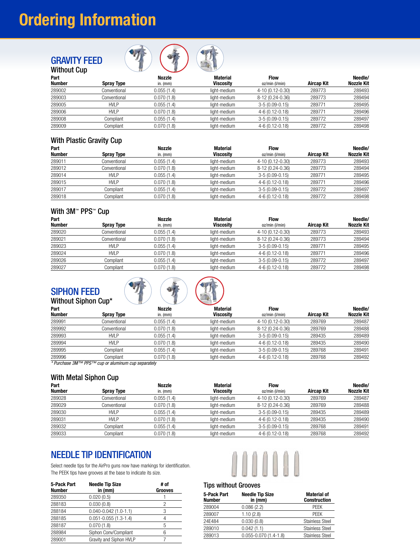# Ordering Information

| <b>GRAVITY FEED</b><br><b>Without Cup</b> | -71               |                      |                                     |                               |                   |                       |
|-------------------------------------------|-------------------|----------------------|-------------------------------------|-------------------------------|-------------------|-----------------------|
| Part<br><b>Number</b>                     | <b>Spray Type</b> | Nozzle<br>in. $(mm)$ | <b>Material</b><br><b>Viscositv</b> | <b>Flow</b><br>oz/min (I/min) | <b>Aircap Kit</b> | Needle/<br>Nozzle Kit |
| 289002                                    | Conventional      | 0.055(1.4)           | light-medium                        | 4-10 (0.12-0.30)              | 289773            | 289493                |
| 289003                                    | Conventional      | 0.070(1.8)           | light-medium                        | 8-12 (0.24-0.36)              | 289773            | 289494                |
| 289005                                    | <b>HVLP</b>       | 0.055(1.4)           | light-medium                        | $3-5(0.09-0.15)$              | 289771            | 289495                |
| 289006                                    | <b>HVLP</b>       | 0.070(1.8)           | light-medium                        | 4-6 (0.12-0.18)               | 289771            | 289496                |
| 289008                                    | Compliant         | 0.055(1.4)           | light-medium                        | $3-5(0.09-0.15)$              | 289772            | 289497                |
| 289009                                    | Compliant         | 0.070(1.8)           | light-medium                        | 4-6 (0.12-0.18)               | 289772            | 289498                |

 $\bigcap$ 

## With Plastic Gravity Cup

| Part   |                   | Nozzle     | <b>Material</b>  | <b>Flow</b>      |            | Needle/    |
|--------|-------------------|------------|------------------|------------------|------------|------------|
| Number | <b>Spray Type</b> | in. $(mm)$ | <b>Viscosity</b> | oz/min (I/min)   | Aircap Kit | Nozzle Kit |
| 289011 | Conventional      | 0.055(1.4) | light-medium     | 4-10 (0.12-0.30) | 289773     | 289493     |
| 289012 | Conventional      | 0.070(1.8) | light-medium     | 8-12 (0.24-0.36) | 289773     | 289494     |
| 289014 | <b>HVLP</b>       | 0.055(1.4) | light-medium     | $3-5(0.09-0.15)$ | 289771     | 289495     |
| 289015 | <b>HVLP</b>       | 0.070(1.8) | light-medium     | $4-6(0.12-0.18)$ | 289771     | 289496     |
| 289017 | Compliant         | 0.055(1.4) | light-medium     | $3-5(0.09-0.15)$ | 289772     | 289497     |
| 289018 | Compliant         | 0.070(1.8) | light-medium     | $4-6(0.12-0.18)$ | 289772     | 289498     |

# With 3M™ PPS™ Cup

| Part          |                   | <b>Nozzle</b> | Material     | <b>Flow</b>      |            | Needle/           |
|---------------|-------------------|---------------|--------------|------------------|------------|-------------------|
| <b>Number</b> | <b>Spray Type</b> | in. $(mm)$    | Viscosity    | oz/min (I/min)   | Aircap Kit | <b>Nozzle Kit</b> |
| 289020        | Conventional      | 0.055(1.4)    | light-medium | 4-10 (0.12-0.30) | 289773     | 289493            |
| 289021        | Conventional      | 0.070(1.8)    | light-medium | 8-12 (0.24-0.36) | 289773     | 289494            |
| 289023        | <b>HVLP</b>       | 0.055(1.4)    | light-medium | $3-5(0.09-0.15)$ | 289771     | 289495            |
| 289024        | <b>HVLP</b>       | 0.070(1.8)    | light-medium | 4-6 (0.12-0.18)  | 289771     | 289496            |
| 289026        | Compliant         | 0.055(1.4)    | light-medium | $3-5(0.09-0.15)$ | 289772     | 289497            |
| 289027        | Compliant         | 0.070(1.8)    | light-medium | 4-6 (0.12-0.18)  | 289772     | 289498            |

### SIPHON FEED Without Siphon Cup\*





| $\cdots$       |                                                      | -                    |                              |                               |            |                              |
|----------------|------------------------------------------------------|----------------------|------------------------------|-------------------------------|------------|------------------------------|
| Part<br>Number | <b>Spray Type</b>                                    | Nozzle<br>in. $(mm)$ | <b>Material</b><br>Viscosity | <b>Flow</b><br>oz/min (I/min) | Aircap Kit | Needle/<br><b>Nozzle Kit</b> |
| 289991         | Conventional                                         | 0.055(1.4)           | light-medium                 | 4-10 (0.12-0.30)              | 289769     | 289487                       |
| 289992         | Conventional                                         | 0.070(1.8)           | light-medium                 | 8-12 (0.24-0.36)              | 289769     | 289488                       |
| 289993         | <b>HVLP</b>                                          | 0.055(1.4)           | light-medium                 | $3-5(0.09-0.15)$              | 289435     | 289489                       |
| 289994         | <b>HVLP</b>                                          | 0.070(1.8)           | light-medium                 | 4-6 (0.12-0.18)               | 289435     | 289490                       |
| 289995         | Compliant                                            | 0.055(1.4)           | light-medium                 | $3-5(0.09-0.15)$              | 289768     | 289491                       |
| 289996         | Compliant                                            | 0.070(1.8)           | light-medium                 | 4-6 (0.12-0.18)               | 289768     | 289492                       |
|                | * Durchase 2MTM DDCTM aup er olyminum aup separately |                      |                              |                               |            |                              |

*\* Purchase 3M™ PPS™ cup or aluminum cup separately*

### With Metal Siphon Cup

| Part   |                   | Nozzle     | Material         | <b>Flow</b>       |            | Needle/    |
|--------|-------------------|------------|------------------|-------------------|------------|------------|
| Number | <b>Spray Type</b> | $in.$ (mm) | <b>Viscosity</b> | oz/min (I/min)    | Aircap Kit | Nozzle Kit |
| 289028 | Conventional      | 0.055(1.4) | light-medium     | 4-10 (0.12-0.30)  | 289769     | 289487     |
| 289029 | Conventional      | 0.070(1.8) | light-medium     | $8-12(0.24-0.36)$ | 289769     | 289488     |
| 289030 | HVLP              | 0.055(1.4) | light-medium     | $3-5(0.09-0.15)$  | 289435     | 289489     |
| 289031 | <b>HVLP</b>       | 0.070(1.8) | light-medium     | 4-6 (0.12-0.18)   | 289435     | 289490     |
| 289032 | Compliant         | 0.055(1.4) | light-medium     | $3-5(0.09-0.15)$  | 289768     | 289491     |
| 289033 | Compliant         | 0.070(1.8) | light-medium     | $4-6(0.12-0.18)$  | 289768     | 289492     |

# NEEDLE TIP IDENTIFICATION

Select needle tips for the AirPro guns now have markings for identification. The PEEK tips have grooves at the base to indicate its size.

| 5-Pack Part<br><b>Number</b> | <b>Needle Tip Size</b><br>in (mm) | # of<br><b>Grooves</b> |
|------------------------------|-----------------------------------|------------------------|
| 289350                       | 0.020(0.5)                        |                        |
| 288183                       | 0.030(0.8)                        |                        |
| 288184                       | $0.040 - 0.042$ (1.0-1.1)         | 3                      |
| 288185                       | $0.051 - 0.055(1.3 - 1.4)$        |                        |
| 288187                       | 0.070(1.8)                        | 5                      |
| 288984                       | Siphon Conv/Compliant             |                        |
| 289001                       | Gravity and Siphon HVLP           |                        |



### Tips without Grooves

| 5-Pack Part<br>Number | <b>Needle Tip Size</b><br>in (mm) | <b>Material of</b><br><b>Construction</b> |
|-----------------------|-----------------------------------|-------------------------------------------|
| 289004                | 0.086(2.2)                        | <b>PFFK</b>                               |
| 289007                | 1.10(2.8)                         | <b>PFFK</b>                               |
| 24F484                | 0.030(0.8)                        | <b>Stainless Steel</b>                    |
| 289010                | 0.042(1.1)                        | <b>Stainless Steel</b>                    |
| 289013                | $0.055 - 0.070(1.4 - 1.8)$        | <b>Stainless Steel</b>                    |
|                       |                                   |                                           |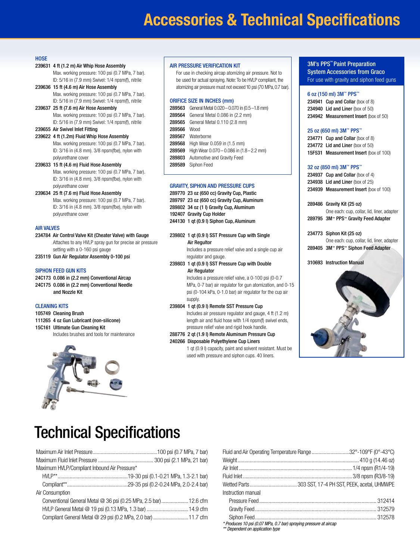# Accessories & Technical Specifications

#### **HOSE**

### 239631 4 ft (1.2 m) Air Whip Hose Assembly

Max. working pressure: 100 psi (0.7 MPa, 7 bar). ID: 5/16 in (7.9 mm) Swivel: 1/4 npsm(f), nitrile

239636 15 ft (4.6 m) Air Hose Assembly Max. working pressure: 100 psi (0.7 MPa, 7 bar). ID: 5/16 in (7.9 mm) Swivel: 1/4 npsm(f), nitrile

239637 25 ft (7.6 m) Air Hose Assembly Max. working pressure: 100 psi (0.7 MPa, 7 bar). ID: 5/16 in (7.9 mm) Swivel: 1/4 npsm(f), nitrile

#### 239655 Air Swivel Inlet Fitting

- 239622 4 ft (1.2m) Fluid Whip Hose Assembly Max. working pressure: 100 psi (0.7 MPa, 7 bar). ID: 3/16 in (4.8 mm). 3/8 npsm(fbe), nylon with polyurethane cover
- 239633 15 ft (4.6 m) Fluid Hose Assembly Max. working pressure: 100 psi (0.7 MPa, 7 bar). ID: 3/16 in (4.8 mm). 3/8 npsm(fbe), nylon with polyurethane cover
- 239634 25 ft (7.6 m) Fluid Hose Assembly Max. working pressure: 100 psi (0.7 MPa, 7 bar). ID: 3/16 in (4.8 mm). 3/8 npsm(fbe), nylon with polyurethane cover

#### AIR VALVES

234784 Air Control Valve Kit (Cheater Valve) with Gauge Attaches to any HVLP spray gun for precise air pressure setting with a 0-160 psi gauge

235119 Gun Air Regulator Assembly 0-100 psi

#### SIPHON FEED GUN KITS

24C173 0.086 in (2.2 mm) Conventional Aircap 24C175 0.086 in (2.2 mm) Conventional Needle and Nozzle Kit

#### CLEANING KITS

105749 Cleaning Brush

111265 4 oz Gun Lubricant (non-silicone) 15C161 Ultimate Gun Cleaning Kit

Includes brushes and tools for maintenance



#### AIR PRESSURE VERIFICATION KIT

 For use in checking aircap atomizing air pressure. Not to be used for actual spraying. Note: To be HVLP compliant, the atomizing air pressure must not exceed 10 psi (70 MPa, 0.7 bar).

#### ORIFICE SIZE IN INCHES (mm)

|        | 289563 General Metal 0.020 - 0.070 in (0.5 - 1.8 mm) |
|--------|------------------------------------------------------|
| 289564 | General Metal 0.086 in (2.2 mm)                      |
| 289565 | General Metal 0.110 (2.8 mm)                         |
| 289566 | Mood                                                 |
| 289567 | Waterborne                                           |
| 289568 | High Wear 0.059 in (1.5 mm)                          |
| 289569 | High Wear 0.070 - 0.086 in (1.8 - 2.2 mm)            |
| 289803 | Automotive and Gravity Feed                          |
| 289589 | Siphon Feed                                          |
|        |                                                      |

#### GRAVITY, SIPHON AND PRESSURE CUPS

289770 23 oz (650 cc) Gravity Cup, Plastic

- 289797 23 oz (650 cc) Gravity Cup, Aluminum
- 289802 34 oz (1 l) Gravity Cup, Aluminum
- 192407 Gravity Cup Holder
- 244130 1 qt (0.9 l) Siphon Cup, Aluminum

#### 239802 1 qt (0.9 l) SST Pressure Cup with Single Air Regultor

 Includes a pressure relief valve and a single cup air regulator and gauge.

239803 1 qt (0.9 l) SST Pressure Cup with Double Air Regulator

> Includes a pressure relief valve, a 0-100 psi (0-0.7 MPa, 0-7 bar) air regulator for gun atomization, and 0-15 psi (0-104 kPa, 0-1.0 bar) air regulator for the cup air supply.

### 239804 1 qt (0.9 l) Remote SST Pressure Cup

Includes air pressure regulator and gauge, 4 ft (1.2 m) length air and fluid hose with 1/4 npsm(f) swivel ends, pressure relief valve and rigid hook handle.

#### 288776 2 qt (1.9 l) Remote Aluminum Pressure Cup 240266 Disposable Polyethylene Cup Liners

1 qt (0.9 l) capacity, paint and solvent resistant. Must be used with pressure and siphon cups. 40 liners.

### 3M's PPS<sup>™</sup> Paint Preparation System Accessories from Graco For use with gravity and siphon feed guns

#### 6 oz (150 ml) 3M™ PPS™

234941 Cup and Collar (box of 8) 234940 Lid and Liner (box of 50) 234942 Measurement Insert (box of 50)

### 25 oz (650 ml) 3M™ PPS™

234771 Cup and Collar (box of 8) 234772 Lid and Liner (box of 50) 15F531 Measurement Insert (box of 100)

### 32 oz (850 ml) 3M™ PPS™

234937 Cup and Collar (box of 4) 234938 Lid and Liner (box of 25) 234939 Measurement Insert (box of 100)

#### 289486 Gravity Kit (25 oz)

One each: cup, collar, lid, liner, adapter 289795 3M™ PPS™ Gravity Feed Adapter

#### 234773 Siphon Kit (25 oz)

One each: cup, collar, lid, liner, adapter 289405 3M™ PPS™ Siphon Feed Adapter

#### 310693 Instruction Manual



# Technical Specifications

| Maximum HVLP/Compliant Inbound Air Pressure*                     |  |
|------------------------------------------------------------------|--|
|                                                                  |  |
|                                                                  |  |
| Air Consumption                                                  |  |
| Conventional General Metal @ 36 psi (0.25 MPa, 2.5 bar) 12.6 cfm |  |
| HVLP General Metal @ 19 psi (0.13 MPa, 1.3 bar)  14.9 cfm        |  |
| Compliant General Metal @ 29 psi (0.2 MPa, 2.0 bar)  11.7 cfm    |  |

|                    | Fluid and Air Operating Temperature Range 32°-109°F (0°-43°C) |
|--------------------|---------------------------------------------------------------|
|                    |                                                               |
|                    |                                                               |
|                    |                                                               |
|                    |                                                               |
| Instruction manual |                                                               |
|                    |                                                               |
|                    |                                                               |
|                    |                                                               |
|                    |                                                               |

*\* Produces 10 psi (0.07 MPa, 0.7 bar) spraying pressure at aircap*

*\*\* Dependent on application type*